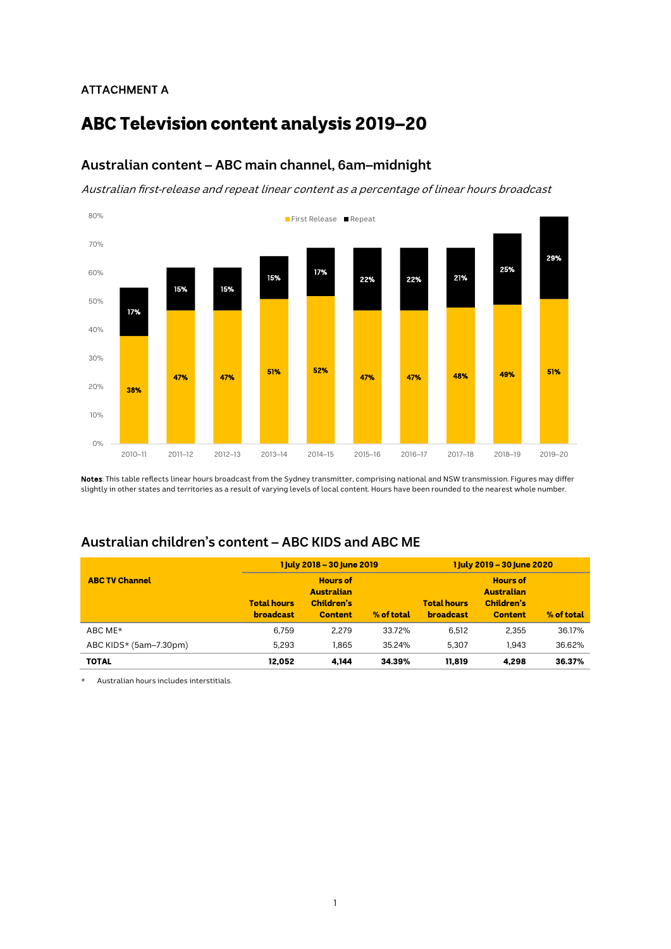## ATTACHMENT A

# ABC Television content analysis 2019–20

# **Australian content – ABC main channel, 6am–midnight**

Australian first-release and repeat linear content as a percentage of linear hours broadcast



Notes: This table reflects linear hours broadcast from the Sydney transmitter, comprising national and NSW transmission. Figures may differ slightly in other states and territories as a result of varying levels of local content. Hours have been rounded to the nearest whole number.

# **Australian children's content – ABC KIDS and ABC ME**

|                          |                                        | 1 July 2018 - 30 June 2019                                                         | 1 July 2019 - 30 June 2020 |                                        |                                                                      |            |  |
|--------------------------|----------------------------------------|------------------------------------------------------------------------------------|----------------------------|----------------------------------------|----------------------------------------------------------------------|------------|--|
| <b>ABC TV Channel</b>    | <b>Total hours</b><br><b>broadcast</b> | <b>Hours of</b><br><b>Australian</b><br>Children's<br>% of total<br><b>Content</b> |                            | <b>Total hours</b><br><b>broadcast</b> | <b>Hours of</b><br><b>Australian</b><br>Children's<br><b>Content</b> | % of total |  |
| ABC ME*                  | 6.759                                  | 2.279                                                                              | 33.72%                     | 6.512                                  | 2.355                                                                | 36.17%     |  |
| ABC KIDS $*(5am-7.30pm)$ | 5,293                                  | 1.865                                                                              | 35.24%                     | 5.307                                  | 1.943                                                                | 36.62%     |  |
| <b>TOTAL</b>             | 12.052                                 | 4.144                                                                              | 34.39%                     | 11.819                                 | 4.298                                                                | 36.37%     |  |

Australian hours includes interstitials.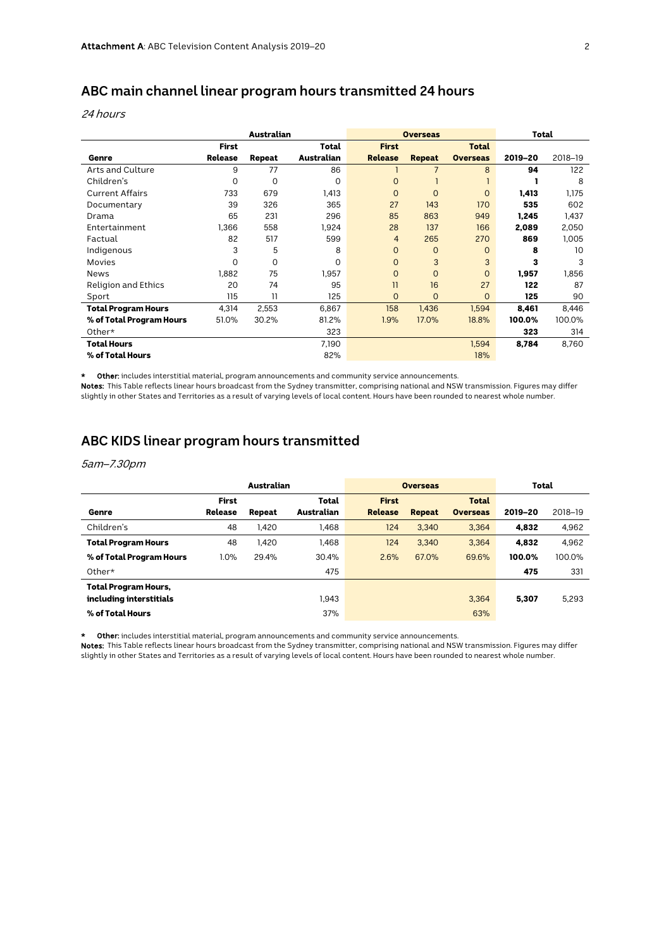# **ABC main channel linear program hours transmitted 24 hours**

#### 24 hours

|                            | Australian     |        |            |                | <b>Overseas</b> | Total           |         |         |
|----------------------------|----------------|--------|------------|----------------|-----------------|-----------------|---------|---------|
|                            | <b>First</b>   |        | Total      | <b>First</b>   |                 | <b>Total</b>    |         |         |
| Genre                      | <b>Release</b> | Repeat | Australian | <b>Release</b> | <b>Repeat</b>   | <b>Overseas</b> | 2019-20 | 2018-19 |
| Arts and Culture           | 9              | 77     | 86         |                | $\overline{7}$  | 8               | 94      | 122     |
| Children's                 | 0              | 0      | 0          | $\overline{0}$ |                 |                 |         | 8       |
| <b>Current Affairs</b>     | 733            | 679    | 1,413      | $\overline{0}$ | $\Omega$        | $\Omega$        | 1,413   | 1,175   |
| Documentary                | 39             | 326    | 365        | 27             | 143             | 170             | 535     | 602     |
| Drama                      | 65             | 231    | 296        | 85             | 863             | 949             | 1,245   | 1,437   |
| Entertainment              | 1,366          | 558    | 1,924      | 28             | 137             | 166             | 2,089   | 2,050   |
| Factual                    | 82             | 517    | 599        | $\overline{4}$ | 265             | 270             | 869     | 1.005   |
| Indigenous                 | 3              | 5      | 8          | $\mathbf{O}$   | $\mathbf{O}$    | $\Omega$        | 8       | 10      |
| Movies                     | 0              | 0      | 0          | $\mathbf{O}$   | 3               | 3               | 3       | 3       |
| <b>News</b>                | 1.882          | 75     | 1.957      | $\overline{0}$ | $\mathbf{O}$    | $\Omega$        | 1,957   | 1,856   |
| <b>Religion and Ethics</b> | 20             | 74     | 95         | 11             | 16              | 27              | 122     | 87      |
| Sport                      | 115            | 11     | 125        | 0              | $\overline{O}$  | $\Omega$        | 125     | 90      |
| Total Program Hours        | 4,314          | 2,553  | 6,867      | 158            | 1,436           | 1,594           | 8,461   | 8,446   |
| % of Total Program Hours   | 51.0%          | 30.2%  | 81.2%      | 1.9%           | 17.0%           | 18.8%           | 100.0%  | 100.0%  |
| Other*                     |                |        | 323        |                |                 |                 | 323     | 314     |
| <b>Total Hours</b>         |                |        | 7,190      |                |                 | 1,594           | 8,784   | 8,760   |
| % of Total Hours           |                |        | 82%        |                |                 | 18%             |         |         |

\* Other: includes interstitial material, program announcements and community service announcements.

Notes: This Table reflects linear hours broadcast from the Sydney transmitter, comprising national and NSW transmission. Figures may differ slightly in other States and Territories as a result of varying levels of local content. Hours have been rounded to nearest whole number.

## **ABC KIDS linear program hours transmitted**

#### 5am–7.30pm

|                             | Australian   |        |                   |                | <b>Overseas</b> | Total           |         |         |
|-----------------------------|--------------|--------|-------------------|----------------|-----------------|-----------------|---------|---------|
|                             | <b>First</b> |        | Total             | <b>First</b>   |                 | <b>Total</b>    |         |         |
| Genre                       | Release      | Repeat | <b>Australian</b> | <b>Release</b> | <b>Repeat</b>   | <b>Overseas</b> | 2019-20 | 2018-19 |
| Children's                  | 48           | 1.420  | 1.468             | 124            | 3.340           | 3.364           | 4.832   | 4,962   |
| <b>Total Program Hours</b>  | 48           | 1.420  | 1.468             | 124            | 3.340           | 3.364           | 4.832   | 4,962   |
| % of Total Program Hours    | 1.0%         | 29.4%  | 30.4%             | 2.6%           | 67.0%           | 69.6%           | 100.0%  | 100.0%  |
| Other $\star$               |              |        | 475               |                |                 |                 | 475     | 331     |
| <b>Total Program Hours,</b> |              |        |                   |                |                 |                 |         |         |
| including interstitials     |              |        | 1.943             |                |                 | 3.364           | 5.307   | 5.293   |
| % of Total Hours            |              |        | 37%               |                |                 | 63%             |         |         |

\* Other: includes interstitial material, program announcements and community service announcements.

Notes: This Table reflects linear hours broadcast from the Sydney transmitter, comprising national and NSW transmission. Figures may differ slightly in other States and Territories as a result of varying levels of local content. Hours have been rounded to nearest whole number.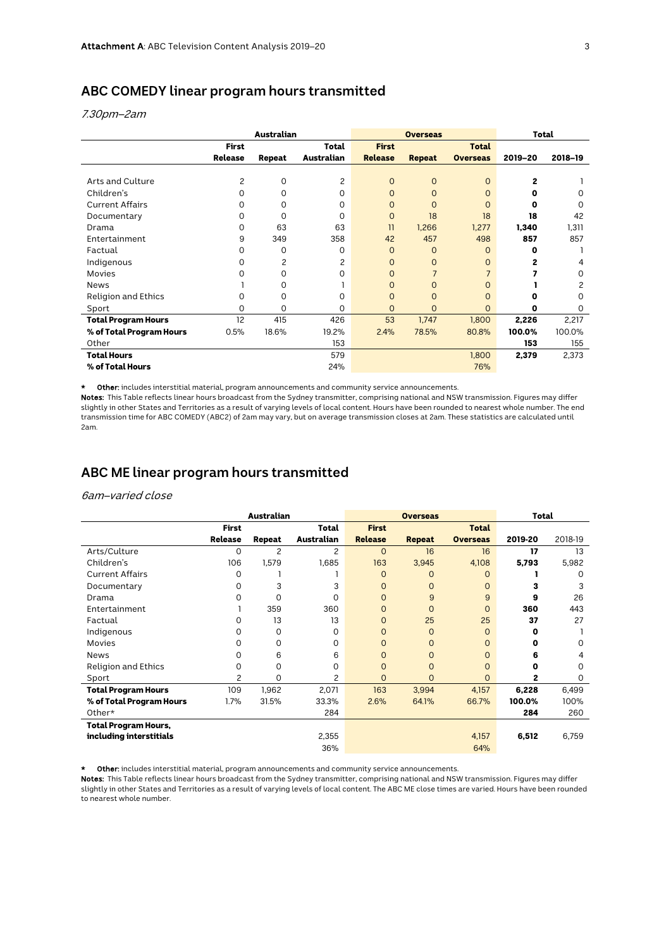### **ABC COMEDY linear program hours transmitted**

7.30pm–2am

|                            | Australian     |          |            |                | <b>Overseas</b> | Total           |         |          |
|----------------------------|----------------|----------|------------|----------------|-----------------|-----------------|---------|----------|
|                            | <b>First</b>   |          | Total      | <b>First</b>   |                 | <b>Total</b>    |         |          |
|                            | <b>Release</b> | Repeat   | Australian | <b>Release</b> | <b>Repeat</b>   | <b>Overseas</b> | 2019-20 | 2018-19  |
|                            |                |          |            |                |                 |                 |         |          |
| Arts and Culture           | 2              | 0        | 2          | $\Omega$       | $\overline{0}$  | $\Omega$        | 2       |          |
| Children's                 | O              | 0        | 0          | $\Omega$       | $\overline{0}$  | $\Omega$        | o       | 0        |
| <b>Current Affairs</b>     | U              | 0        | $\Omega$   | $\Omega$       | $\Omega$        | $\Omega$        | C       | $\Omega$ |
| Documentary                | O              | $\Omega$ | $\Omega$   | $\Omega$       | 18              | 18              | 18      | 42       |
| Drama                      | O              | 63       | 63         | 11             | 1,266           | 1,277           | 1,340   | 1,311    |
| Entertainment              | 9              | 349      | 358        | 42             | 457             | 498             | 857     | 857      |
| Factual                    | O              | 0        | 0          | $\Omega$       | $\overline{0}$  | $\Omega$        | O       |          |
| Indigenous                 | O              | 2        | 2          | $\Omega$       | $\overline{0}$  | $\Omega$        | 2       | 4        |
| Movies                     | O              | 0        | $\Omega$   | $\Omega$       | $\overline{7}$  |                 |         | 0        |
| <b>News</b>                |                | 0        |            | $\Omega$       | O               | $\Omega$        |         | 2        |
| <b>Religion and Ethics</b> | Ω              | 0        | 0          | $\Omega$       | 0               | $\overline{0}$  | n       | $\Omega$ |
| Sport                      | 0              | 0        | 0          | $\Omega$       | $\mathsf{O}$    | $\Omega$        | 0       | $\Omega$ |
| <b>Total Program Hours</b> | 12             | 415      | 426        | 53             | 1,747           | 1,800           | 2,226   | 2,217    |
| % of Total Program Hours   | 0.5%           | 18.6%    | 19.2%      | 2.4%           | 78.5%           | 80.8%           | 100.0%  | 100.0%   |
| Other                      |                |          | 153        |                |                 |                 | 153     | 155      |
| <b>Total Hours</b>         |                |          | 579        |                |                 | 1,800           | 2,379   | 2,373    |
| % of Total Hours           |                |          | 24%        |                |                 | 76%             |         |          |

\* Other: includes interstitial material, program announcements and community service announcements.

Notes: This Table reflects linear hours broadcast from the Sydney transmitter, comprising national and NSW transmission. Figures may differ slightly in other States and Territories as a result of varying levels of local content. Hours have been rounded to nearest whole number. The end transmission time for ABC COMEDY (ABC2) of 2am may vary, but on average transmission closes at 2am. These statistics are calculated until 2am.

### **ABC ME linear program hours transmitted**

#### 6am–varied close

|                             | Australian     |        |                |                | <b>Overseas</b> | Total           |         |          |
|-----------------------------|----------------|--------|----------------|----------------|-----------------|-----------------|---------|----------|
|                             | <b>First</b>   |        | <b>Total</b>   | <b>First</b>   |                 | <b>Total</b>    |         |          |
|                             | <b>Release</b> | Repeat | Australian     | <b>Release</b> | <b>Repeat</b>   | <b>Overseas</b> | 2019-20 | 2018-19  |
| Arts/Culture                | 0              | 2      | $\overline{c}$ | $\circ$        | 16              | 16              | 17      | 13       |
| Children's                  | 106            | 1,579  | 1,685          | 163            | 3,945           | 4,108           | 5,793   | 5,982    |
| <b>Current Affairs</b>      | 0              |        |                | $\circ$        | $\Omega$        | $\Omega$        |         | 0        |
| Documentary                 | 0              | 3      | 3              | $\overline{0}$ | $\Omega$        | $\Omega$        | 3       | 3        |
| Drama                       | 0              | 0      | 0              | $\overline{0}$ | 9               | 9               | 9       | 26       |
| Entertainment               |                | 359    | 360            | $\overline{0}$ | $\Omega$        | $\Omega$        | 360     | 443      |
| Factual                     | 0              | 13     | 13             | $\circ$        | 25              | 25              | 37      | 27       |
| Indigenous                  | 0              | 0      | $\Omega$       | $\overline{0}$ | $\Omega$        | $\Omega$        | 0       |          |
| Movies                      | Ω              | 0      | 0              | $\Omega$       | $\Omega$        | $\Omega$        | 0       | $\Omega$ |
| News                        | Ω              | 6      | 6              | $\overline{0}$ | $\Omega$        | 0               | 6       | 4        |
| Religion and Ethics         | 0              | 0      | $\Omega$       | $\overline{0}$ | $\Omega$        | $\Omega$        | n       | $\Omega$ |
| Sport                       | 2              | 0      | 2              | $\overline{0}$ | $\overline{0}$  | $\overline{0}$  | 2       | 0        |
| <b>Total Program Hours</b>  | 109            | 1,962  | 2,071          | 163            | 3,994           | 4,157           | 6,228   | 6,499    |
| % of Total Program Hours    | $1.7\%$        | 31.5%  | 33.3%          | 2.6%           | 64.1%           | 66.7%           | 100.0%  | 100%     |
| Other $*$                   |                |        | 284            |                |                 |                 | 284     | 260      |
| <b>Total Program Hours,</b> |                |        |                |                |                 |                 |         |          |
| including interstitials     |                |        | 2,355          |                |                 | 4,157           | 6,512   | 6,759    |
|                             |                |        | 36%            |                |                 | 64%             |         |          |

Other: includes interstitial material, program announcements and community service announcements.

Notes: This Table reflects linear hours broadcast from the Sydney transmitter, comprising national and NSW transmission. Figures may differ slightly in other States and Territories as a result of varying levels of local content. The ABC ME close times are varied. Hours have been rounded to nearest whole number.